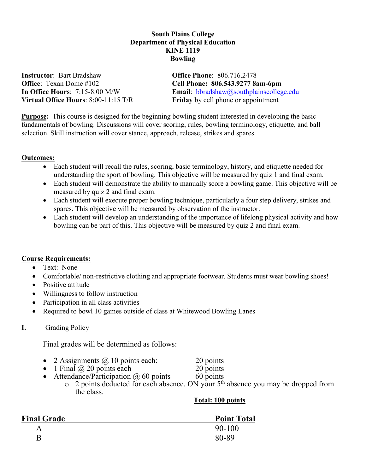## South Plains College Department of Physical Education KINE 1119 Bowling

Instructor: Bart Bradshaw Office Phone: 806.716.2478 Office: Texan Dome #102 Cell Phone: 806.543.9277 8am-6pm Virtual Office Hours:  $8:00-11:15$  T/R Friday by cell phone or appointment

In Office Hours: 7:15-8:00 M/W Email: bbradshaw@southplainscollege.edu

Purpose: This course is designed for the beginning bowling student interested in developing the basic fundamentals of bowling. Discussions will cover scoring, rules, bowling terminology, etiquette, and ball selection. Skill instruction will cover stance, approach, release, strikes and spares.

#### Outcomes:

- Each student will recall the rules, scoring, basic terminology, history, and etiquette needed for understanding the sport of bowling. This objective will be measured by quiz 1 and final exam.
- Each student will demonstrate the ability to manually score a bowling game. This objective will be measured by quiz 2 and final exam.
- Each student will execute proper bowling technique, particularly a four step delivery, strikes and spares. This objective will be measured by observation of the instructor.
- Each student will develop an understanding of the importance of lifelong physical activity and how bowling can be part of this. This objective will be measured by quiz 2 and final exam.

# Course Requirements:

- Text: None
- Comfortable/ non-restrictive clothing and appropriate footwear. Students must wear bowling shoes!
- Positive attitude
- Willingness to follow instruction
- Participation in all class activities
- Required to bowl 10 games outside of class at Whitewood Bowling Lanes

# I. Grading Policy

Final grades will be determined as follows:

- 2 Assignments  $\omega$  10 points each: 20 points<br>
1 Final  $\omega$  20 points each 20 points
- 

- 1 Final  $\omega$  20 points each 20 points<br>
Attendance/Participation  $\omega$  60 points 60 points • Attendance/Participation  $\omega$  60 points
	- $\circ$  2 points deducted for each absence. ON your 5<sup>th</sup> absence you may be dropped from the class.

## Total: 100 points

| <b>Final Grade</b> | <b>Point Total</b> |
|--------------------|--------------------|
| A                  | 90-100             |
| R                  | 80-89              |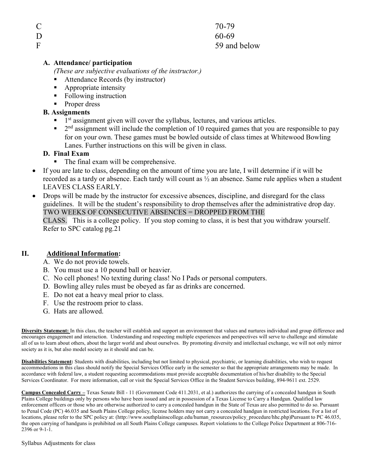|   | 70-79        |
|---|--------------|
| D | 60-69        |
| F | 59 and below |

#### A. Attendance/ participation

(These are subjective evaluations of the instructor.)

- Attendance Records (by instructor)
- **Appropriate intensity**
- Following instruction
- **Proper dress**

## B. Assignments

- $\blacksquare$  1<sup>st</sup> assignment given will cover the syllabus, lectures, and various articles.
- $\blacksquare$  2<sup>nd</sup> assignment will include the completion of 10 required games that you are responsible to pay for on your own. These games must be bowled outside of class times at Whitewood Bowling Lanes. Further instructions on this will be given in class.

#### D. Final Exam

- The final exam will be comprehensive.
- If you are late to class, depending on the amount of time you are late, I will determine if it will be recorded as a tardy or absence. Each tardy will count as ½ an absence. Same rule applies when a student LEAVES CLASS EARLY.
- Drops will be made by the instructor for excessive absences, discipline, and disregard for the class guidelines. It will be the student's responsibility to drop themselves after the administrative drop day. TWO WEEKS OF CONSECUTIVE ABSENCES = DROPPED FROM THE

CLASS. This is a college policy. If you stop coming to class, it is best that you withdraw yourself. Refer to SPC catalog pg.21

#### II. Additional Information:

- A. We do not provide towels.
- B. You must use a 10 pound ball or heavier.
- C. No cell phones! No texting during class! No I Pads or personal computers.
- D. Bowling alley rules must be obeyed as far as drinks are concerned.
- E. Do not eat a heavy meal prior to class.
- F. Use the restroom prior to class.
- G. Hats are allowed.

Diversity Statement: In this class, the teacher will establish and support an environment that values and nurtures individual and group difference and encourages engagement and interaction. Understanding and respecting multiple experiences and perspectives will serve to challenge and stimulate all of us to learn about others, about the larger world and about ourselves. By promoting diversity and intellectual exchange, we will not only mirror society as it is, but also model society as it should and can be.

Disabilities Statement: Students with disabilities, including but not limited to physical, psychiatric, or learning disabilities, who wish to request accommodations in this class should notify the Special Services Office early in the semester so that the appropriate arrangements may be made. In accordance with federal law, a student requesting accommodations must provide acceptable documentation of his/her disability to the Special Services Coordinator. For more information, call or visit the Special Services Office in the Student Services building, 894-9611 ext. 2529.

Campus Concealed Carry – Texas Senate Bill - 11 (Government Code 411.2031, et al.) authorizes the carrying of a concealed handgun in South Plains College buildings only by persons who have been issued and are in possession of a Texas License to Carry a Handgun. Qualified law enforcement officers or those who are otherwise authorized to carry a concealed handgun in the State of Texas are also permitted to do so. Pursuant to Penal Code (PC) 46.035 and South Plains College policy, license holders may not carry a concealed handgun in restricted locations. For a list of locations, please refer to the SPC policy at: (http://www.southplainscollege.edu/human\_resources/policy\_procedure/hhc.php)Pursuant to PC 46.035, the open carrying of handguns is prohibited on all South Plains College campuses. Report violations to the College Police Department at 806-716- 2396 or 9-1-1.

Syllabus Adjustments for class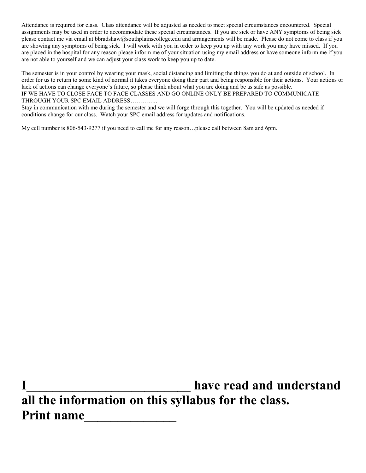Attendance is required for class. Class attendance will be adjusted as needed to meet special circumstances encountered. Special assignments may be used in order to accommodate these special circumstances. If you are sick or have ANY symptoms of being sick please contact me via email at bbradshaw@southplainscollege.edu and arrangements will be made. Please do not come to class if you are showing any symptoms of being sick. I will work with you in order to keep you up with any work you may have missed. If you are placed in the hospital for any reason please inform me of your situation using my email address or have someone inform me if you are not able to yourself and we can adjust your class work to keep you up to date.

The semester is in your control by wearing your mask, social distancing and limiting the things you do at and outside of school. In order for us to return to some kind of normal it takes everyone doing their part and being responsible for their actions. Your actions or lack of actions can change everyone's future, so please think about what you are doing and be as safe as possible. IF WE HAVE TO CLOSE FACE TO FACE CLASSES AND GO ONLINE ONLY BE PREPARED TO COMMUNICATE THROUGH YOUR SPC EMAIL ADDRESS…………..

Stay in communication with me during the semester and we will forge through this together. You will be updated as needed if conditions change for our class. Watch your SPC email address for updates and notifications.

My cell number is 806-543-9277 if you need to call me for any reason…please call between 8am and 6pm.

have read and understand all the information on this syllabus for the class. Print name